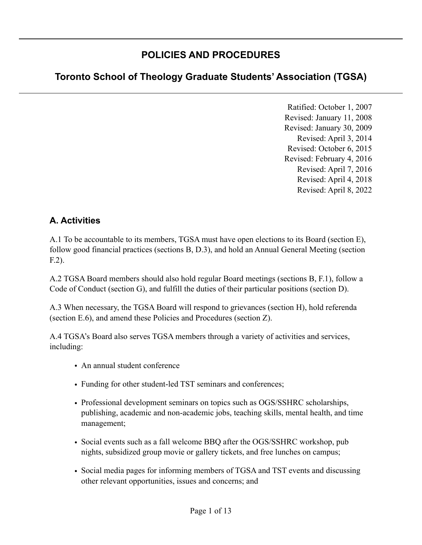## **POLICIES AND PROCEDURES**

# **Toronto School of Theology Graduate Students' Association (TGSA)**

Ratified: October 1, 2007 Revised: January 11, 2008 Revised: January 30, 2009 Revised: April 3, 2014 Revised: October 6, 2015 Revised: February 4, 2016 Revised: April 7, 2016 Revised: April 4, 2018 Revised: April 8, 2022

### **A. Activities**

A.1 To be accountable to its members, TGSA must have open elections to its Board (section E), follow good financial practices (sections B, D.3), and hold an Annual General Meeting (section F.2).

A.2 TGSA Board members should also hold regular Board meetings (sections B, F.1), follow a Code of Conduct (section G), and fulfill the duties of their particular positions (section D).

A.3 When necessary, the TGSA Board will respond to grievances (section H), hold referenda (section E.6), and amend these Policies and Procedures (section Z).

A.4 TGSA's Board also serves TGSA members through a variety of activities and services, including:

- An annual student conference
- Funding for other student-led TST seminars and conferences;
- Professional development seminars on topics such as OGS/SSHRC scholarships, publishing, academic and non-academic jobs, teaching skills, mental health, and time management;
- Social events such as a fall welcome BBQ after the OGS/SSHRC workshop, pub nights, subsidized group movie or gallery tickets, and free lunches on campus;
- Social media pages for informing members of TGSA and TST events and discussing other relevant opportunities, issues and concerns; and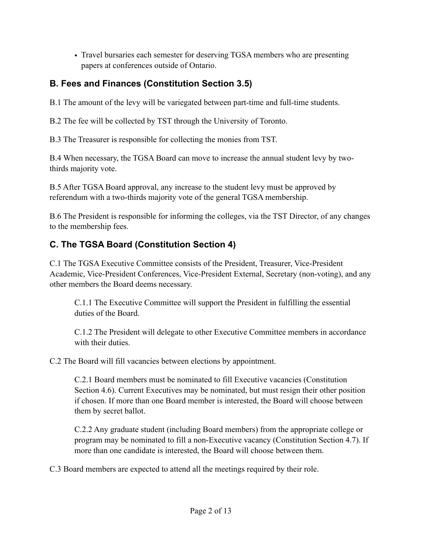• Travel bursaries each semester for deserving TGSA members who are presenting papers at conferences outside of Ontario.

### **B. Fees and Finances (Constitution Section 3.5)**

B.1 The amount of the levy will be variegated between part-time and full-time students.

B.2 The fee will be collected by TST through the University of Toronto.

B.3 The Treasurer is responsible for collecting the monies from TST.

B.4 When necessary, the TGSA Board can move to increase the annual student levy by twothirds majority vote.

B.5 After TGSA Board approval, any increase to the student levy must be approved by referendum with a two-thirds majority vote of the general TGSA membership.

B.6 The President is responsible for informing the colleges, via the TST Director, of any changes to the membership fees.

### **C. The TGSA Board (Constitution Section 4)**

C.1 The TGSA Executive Committee consists of the President, Treasurer, Vice-President Academic, Vice-President Conferences, Vice-President External, Secretary (non-voting), and any other members the Board deems necessary.

C.1.1 The Executive Committee will support the President in fulfilling the essential duties of the Board.

C.1.2 The President will delegate to other Executive Committee members in accordance with their duties.

C.2 The Board will fill vacancies between elections by appointment.

C.2.1 Board members must be nominated to fill Executive vacancies (Constitution Section 4.6). Current Executives may be nominated, but must resign their other position if chosen. If more than one Board member is interested, the Board will choose between them by secret ballot.

C.2.2 Any graduate student (including Board members) from the appropriate college or program may be nominated to fill a non-Executive vacancy (Constitution Section 4.7). If more than one candidate is interested, the Board will choose between them.

C.3 Board members are expected to attend all the meetings required by their role.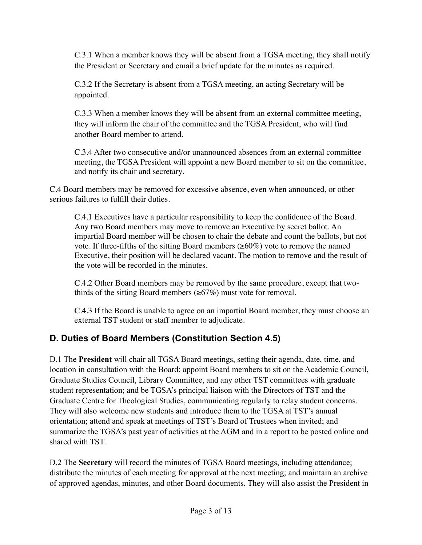C.3.1 When a member knows they will be absent from a TGSA meeting, they shall notify the President or Secretary and email a brief update for the minutes as required.

C.3.2 If the Secretary is absent from a TGSA meeting, an acting Secretary will be appointed.

C.3.3 When a member knows they will be absent from an external committee meeting, they will inform the chair of the committee and the TGSA President, who will find another Board member to attend.

C.3.4 After two consecutive and/or unannounced absences from an external committee meeting, the TGSA President will appoint a new Board member to sit on the committee, and notify its chair and secretary.

C.4 Board members may be removed for excessive absence, even when announced, or other serious failures to fulfill their duties.

C.4.1 Executives have a particular responsibility to keep the confidence of the Board. Any two Board members may move to remove an Executive by secret ballot. An impartial Board member will be chosen to chair the debate and count the ballots, but not vote. If three-fifths of the sitting Board members  $(\geq 60\%)$  vote to remove the named Executive, their position will be declared vacant. The motion to remove and the result of the vote will be recorded in the minutes.

C.4.2 Other Board members may be removed by the same procedure, except that twothirds of the sitting Board members ( $\geq 67\%$ ) must vote for removal.

C.4.3 If the Board is unable to agree on an impartial Board member, they must choose an external TST student or staff member to adjudicate.

### **D. Duties of Board Members (Constitution Section 4.5)**

D.1 The **President** will chair all TGSA Board meetings, setting their agenda, date, time, and location in consultation with the Board; appoint Board members to sit on the Academic Council, Graduate Studies Council, Library Committee, and any other TST committees with graduate student representation; and be TGSA's principal liaison with the Directors of TST and the Graduate Centre for Theological Studies, communicating regularly to relay student concerns. They will also welcome new students and introduce them to the TGSA at TST's annual orientation; attend and speak at meetings of TST's Board of Trustees when invited; and summarize the TGSA's past year of activities at the AGM and in a report to be posted online and shared with TST.

D.2 The **Secretary** will record the minutes of TGSA Board meetings, including attendance; distribute the minutes of each meeting for approval at the next meeting; and maintain an archive of approved agendas, minutes, and other Board documents. They will also assist the President in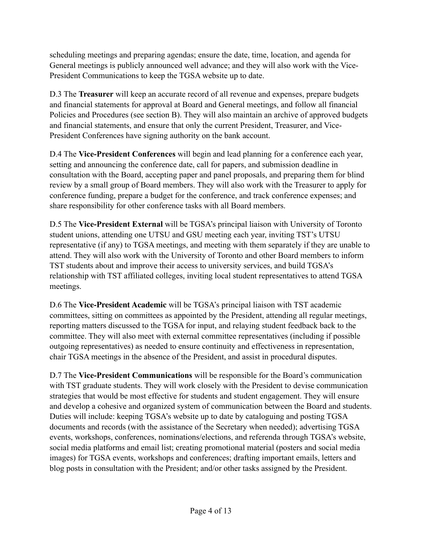scheduling meetings and preparing agendas; ensure the date, time, location, and agenda for General meetings is publicly announced well advance; and they will also work with the Vice-President Communications to keep the TGSA website up to date.

D.3 The **Treasurer** will keep an accurate record of all revenue and expenses, prepare budgets and financial statements for approval at Board and General meetings, and follow all financial Policies and Procedures (see section B). They will also maintain an archive of approved budgets and financial statements, and ensure that only the current President, Treasurer, and Vice-President Conferences have signing authority on the bank account.

D.4 The **Vice-President Conferences** will begin and lead planning for a conference each year, setting and announcing the conference date, call for papers, and submission deadline in consultation with the Board, accepting paper and panel proposals, and preparing them for blind review by a small group of Board members. They will also work with the Treasurer to apply for conference funding, prepare a budget for the conference, and track conference expenses; and share responsibility for other conference tasks with all Board members.

D.5 The **Vice-President External** will be TGSA's principal liaison with University of Toronto student unions, attending one UTSU and GSU meeting each year, inviting TST's UTSU representative (if any) to TGSA meetings, and meeting with them separately if they are unable to attend. They will also work with the University of Toronto and other Board members to inform TST students about and improve their access to university services, and build TGSA's relationship with TST affiliated colleges, inviting local student representatives to attend TGSA meetings.

D.6 The **Vice-President Academic** will be TGSA's principal liaison with TST academic committees, sitting on committees as appointed by the President, attending all regular meetings, reporting matters discussed to the TGSA for input, and relaying student feedback back to the committee. They will also meet with external committee representatives (including if possible outgoing representatives) as needed to ensure continuity and effectiveness in representation, chair TGSA meetings in the absence of the President, and assist in procedural disputes.

D.7 The **Vice-President Communications** will be responsible for the Board's communication with TST graduate students. They will work closely with the President to devise communication strategies that would be most effective for students and student engagement. They will ensure and develop a cohesive and organized system of communication between the Board and students. Duties will include: keeping TGSA's website up to date by cataloguing and posting TGSA documents and records (with the assistance of the Secretary when needed); advertising TGSA events, workshops, conferences, nominations/elections, and referenda through TGSA's website, social media platforms and email list; creating promotional material (posters and social media images) for TGSA events, workshops and conferences; drafting important emails, letters and blog posts in consultation with the President; and/or other tasks assigned by the President.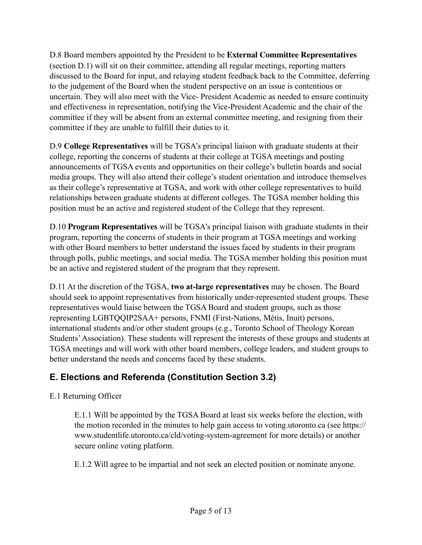D.8 Board members appointed by the President to be **External Committee Representatives**  (section D.1) will sit on their committee, attending all regular meetings, reporting matters discussed to the Board for input, and relaying student feedback back to the Committee, deferring to the judgement of the Board when the student perspective on an issue is contentious or uncertain. They will also meet with the Vice- President Academic as needed to ensure continuity and effectiveness in representation, notifying the Vice-President Academic and the chair of the committee if they will be absent from an external committee meeting, and resigning from their committee if they are unable to fulfill their duties to it.

D.9 **College Representatives** will be TGSA's principal liaison with graduate students at their college, reporting the concerns of students at their college at TGSA meetings and posting announcements of TGSA events and opportunities on their college's bulletin boards and social media groups. They will also attend their college's student orientation and introduce themselves as their college's representative at TGSA, and work with other college representatives to build relationships between graduate students at different colleges. The TGSA member holding this position must be an active and registered student of the College that they represent.

D.10 **Program Representatives** will be TGSA's principal liaison with graduate students in their program, reporting the concerns of students in their program at TGSA meetings and working with other Board members to better understand the issues faced by students in their program through polls, public meetings, and social media. The TGSA member holding this position must be an active and registered student of the program that they represent.

D.11 At the discretion of the TGSA, **two at-large representatives** may be chosen. The Board should seek to appoint representatives from historically under-represented student groups. These representatives would liaise between the TGSA Board and student groups, such as those representing LGBTQQIP2SAA+ persons, FNMI (First-Nations, Métis, Inuit) persons, international students and/or other student groups (e.g., Toronto School of Theology Korean Students' Association). These students will represent the interests of these groups and students at TGSA meetings and will work with other board members, college leaders, and student groups to better understand the needs and concerns faced by these students.

## **E. Elections and Referenda (Constitution Section 3.2)**

### E.1 Returning Officer

E.1.1 Will be appointed by the TGSA Board at least six weeks before the election, with the motion recorded in the minutes to help gain access to voting.utoronto.ca (see https:// www.studentlife.utoronto.ca/cld/voting-system-agreement for more details) or another secure online voting platform.

E.1.2 Will agree to be impartial and not seek an elected position or nominate anyone.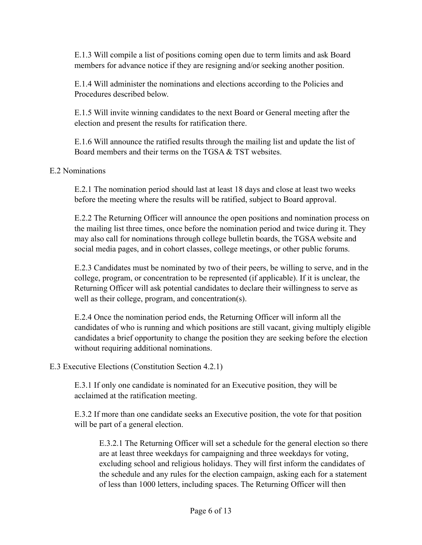E.1.3 Will compile a list of positions coming open due to term limits and ask Board members for advance notice if they are resigning and/or seeking another position.

E.1.4 Will administer the nominations and elections according to the Policies and Procedures described below.

E.1.5 Will invite winning candidates to the next Board or General meeting after the election and present the results for ratification there.

E.1.6 Will announce the ratified results through the mailing list and update the list of Board members and their terms on the TGSA & TST websites.

#### E.2 Nominations

E.2.1 The nomination period should last at least 18 days and close at least two weeks before the meeting where the results will be ratified, subject to Board approval.

E.2.2 The Returning Officer will announce the open positions and nomination process on the mailing list three times, once before the nomination period and twice during it. They may also call for nominations through college bulletin boards, the TGSA website and social media pages, and in cohort classes, college meetings, or other public forums.

E.2.3 Candidates must be nominated by two of their peers, be willing to serve, and in the college, program, or concentration to be represented (if applicable). If it is unclear, the Returning Officer will ask potential candidates to declare their willingness to serve as well as their college, program, and concentration(s).

E.2.4 Once the nomination period ends, the Returning Officer will inform all the candidates of who is running and which positions are still vacant, giving multiply eligible candidates a brief opportunity to change the position they are seeking before the election without requiring additional nominations.

#### E.3 Executive Elections (Constitution Section 4.2.1)

E.3.1 If only one candidate is nominated for an Executive position, they will be acclaimed at the ratification meeting.

E.3.2 If more than one candidate seeks an Executive position, the vote for that position will be part of a general election.

E.3.2.1 The Returning Officer will set a schedule for the general election so there are at least three weekdays for campaigning and three weekdays for voting, excluding school and religious holidays. They will first inform the candidates of the schedule and any rules for the election campaign, asking each for a statement of less than 1000 letters, including spaces. The Returning Officer will then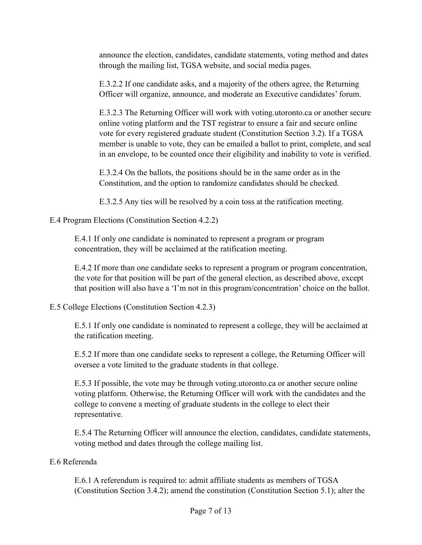announce the election, candidates, candidate statements, voting method and dates through the mailing list, TGSA website, and social media pages.

E.3.2.2 If one candidate asks, and a majority of the others agree, the Returning Officer will organize, announce, and moderate an Executive candidates' forum.

E.3.2.3 The Returning Officer will work with voting.utoronto.ca or another secure online voting platform and the TST registrar to ensure a fair and secure online vote for every registered graduate student (Constitution Section 3.2). If a TGSA member is unable to vote, they can be emailed a ballot to print, complete, and seal in an envelope, to be counted once their eligibility and inability to vote is verified.

E.3.2.4 On the ballots, the positions should be in the same order as in the Constitution, and the option to randomize candidates should be checked.

E.3.2.5 Any ties will be resolved by a coin toss at the ratification meeting.

#### E.4 Program Elections (Constitution Section 4.2.2)

E.4.1 If only one candidate is nominated to represent a program or program concentration, they will be acclaimed at the ratification meeting.

E.4.2 If more than one candidate seeks to represent a program or program concentration, the vote for that position will be part of the general election, as described above, except that position will also have a 'I'm not in this program/concentration' choice on the ballot.

E.5 College Elections (Constitution Section 4.2.3)

E.5.1 If only one candidate is nominated to represent a college, they will be acclaimed at the ratification meeting.

E.5.2 If more than one candidate seeks to represent a college, the Returning Officer will oversee a vote limited to the graduate students in that college.

E.5.3 If possible, the vote may be through voting.utoronto.ca or another secure online voting platform. Otherwise, the Returning Officer will work with the candidates and the college to convene a meeting of graduate students in the college to elect their representative.

E.5.4 The Returning Officer will announce the election, candidates, candidate statements, voting method and dates through the college mailing list.

#### E.6 Referenda

E.6.1 A referendum is required to: admit affiliate students as members of TGSA (Constitution Section 3.4.2); amend the constitution (Constitution Section 5.1); alter the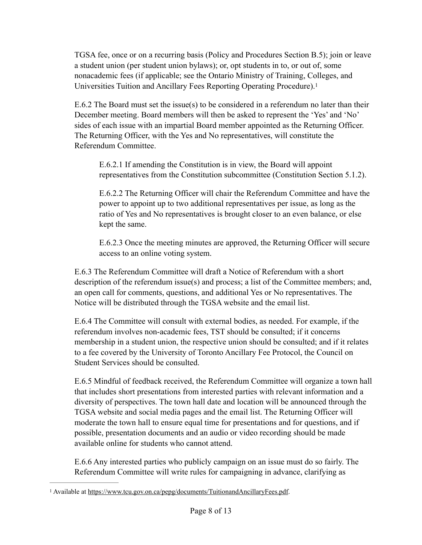TGSA fee, once or on a recurring basis (Policy and Procedures Section B.5); join or leave a student union (per student union bylaws); or, opt students in to, or out of, some nonacademic fees (if applicable; see the Ontario Ministry of Training, Colleges, and Universities Tuition and Ancillary Fees Reporting Operating Procedure)[.1](#page-7-0)

E.6.2 The Board must set the issue(s) to be considered in a referendum no later than their December meeting. Board members will then be asked to represent the 'Yes' and 'No' sides of each issue with an impartial Board member appointed as the Returning Officer. The Returning Officer, with the Yes and No representatives, will constitute the Referendum Committee.

<span id="page-7-1"></span>E.6.2.1 If amending the Constitution is in view, the Board will appoint representatives from the Constitution subcommittee (Constitution Section 5.1.2).

E.6.2.2 The Returning Officer will chair the Referendum Committee and have the power to appoint up to two additional representatives per issue, as long as the ratio of Yes and No representatives is brought closer to an even balance, or else kept the same.

E.6.2.3 Once the meeting minutes are approved, the Returning Officer will secure access to an online voting system.

E.6.3 The Referendum Committee will draft a Notice of Referendum with a short description of the referendum issue(s) and process; a list of the Committee members; and, an open call for comments, questions, and additional Yes or No representatives. The Notice will be distributed through the TGSA website and the email list.

E.6.4 The Committee will consult with external bodies, as needed. For example, if the referendum involves non-academic fees, TST should be consulted; if it concerns membership in a student union, the respective union should be consulted; and if it relates to a fee covered by the University of Toronto Ancillary Fee Protocol, the Council on Student Services should be consulted.

E.6.5 Mindful of feedback received, the Referendum Committee will organize a town hall that includes short presentations from interested parties with relevant information and a diversity of perspectives. The town hall date and location will be announced through the TGSA website and social media pages and the email list. The Returning Officer will moderate the town hall to ensure equal time for presentations and for questions, and if possible, presentation documents and an audio or video recording should be made available online for students who cannot attend.

E.6.6 Any interested parties who publicly campaign on an issue must do so fairly. The Referendum Committee will write rules for campaigning in advance, clarifying as

<span id="page-7-0"></span><sup>&</sup>lt;sup>1</sup> Available at <https://www.tcu.gov.on.ca/pepg/documents/TuitionandAncillaryFees.pdf>.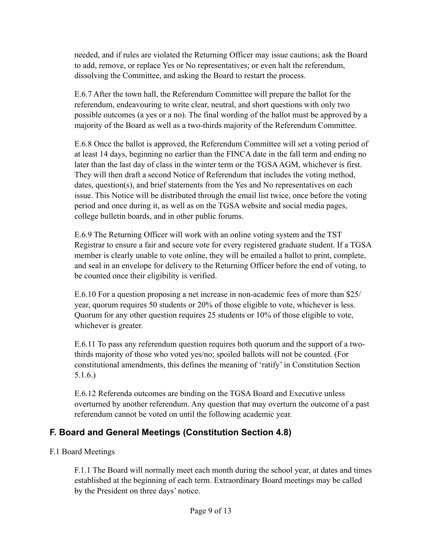needed, and if rules are violated the Returning Officer may issue cautions; ask the Board to add, remove, or replace Yes or No representatives; or even halt the referendum, dissolving the Committee, and asking the Board to restart the process.

E.6.7 After the town hall, the Referendum Committee will prepare the ballot for the referendum, endeavouring to write clear, neutral, and short questions with only two possible outcomes (a yes or a no). The final wording of the ballot must be approved by a majority of the Board as well as a two-thirds majority of the Referendum Committee.

E.6.8 Once the ballot is approved, the Referendum Committee will set a voting period of at least 14 days, beginning no earlier than the FINCA date in the fall term and ending no later than the last day of class in the winter term or the TGSA AGM, whichever is first. They will then draft a second Notice of Referendum that includes the voting method, dates, question(s), and brief statements from the Yes and No representatives on each issue. This Notice will be distributed through the email list twice, once before the voting period and once during it, as well as on the TGSA website and social media pages, college bulletin boards, and in other public forums.

E.6.9 The Returning Officer will work with an online voting system and the TST Registrar to ensure a fair and secure vote for every registered graduate student. If a TGSA member is clearly unable to vote online, they will be emailed a ballot to print, complete, and seal in an envelope for delivery to the Returning Officer before the end of voting, to be counted once their eligibility is verified.

E.6.10 For a question proposing a net increase in non-academic fees of more than \$25/ year, quorum requires 50 students or 20% of those eligible to vote, whichever is less. Quorum for any other question requires 25 students or 10% of those eligible to vote, whichever is greater.

E.6.11 To pass any referendum question requires both quorum and the support of a twothirds majority of those who voted yes/no; spoiled ballots will not be counted. (For constitutional amendments, this defines the meaning of 'ratify' in Constitution Section 5.1.6.)

E.6.12 Referenda outcomes are binding on the TGSA Board and Executive unless overturned by another referendum. Any question that may overturn the outcome of a past referendum cannot be voted on until the following academic year.

### **F. Board and General Meetings (Constitution Section 4.8)**

F.1 Board Meetings

F.1.1 The Board will normally meet each month during the school year, at dates and times established at the beginning of each term. Extraordinary Board meetings may be called by the President on three days' notice.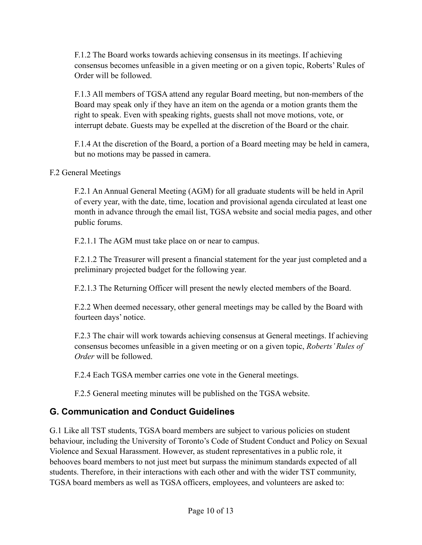F.1.2 The Board works towards achieving consensus in its meetings. If achieving consensus becomes unfeasible in a given meeting or on a given topic, Roberts' Rules of Order will be followed.

F.1.3 All members of TGSA attend any regular Board meeting, but non-members of the Board may speak only if they have an item on the agenda or a motion grants them the right to speak. Even with speaking rights, guests shall not move motions, vote, or interrupt debate. Guests may be expelled at the discretion of the Board or the chair.

F.1.4 At the discretion of the Board, a portion of a Board meeting may be held in camera, but no motions may be passed in camera.

#### F.2 General Meetings

F.2.1 An Annual General Meeting (AGM) for all graduate students will be held in April of every year, with the date, time, location and provisional agenda circulated at least one month in advance through the email list, TGSA website and social media pages, and other public forums.

F.2.1.1 The AGM must take place on or near to campus.

F.2.1.2 The Treasurer will present a financial statement for the year just completed and a preliminary projected budget for the following year.

F.2.1.3 The Returning Officer will present the newly elected members of the Board.

F.2.2 When deemed necessary, other general meetings may be called by the Board with fourteen days' notice.

F.2.3 The chair will work towards achieving consensus at General meetings. If achieving consensus becomes unfeasible in a given meeting or on a given topic, *Roberts' Rules of Order* will be followed.

F.2.4 Each TGSA member carries one vote in the General meetings.

F.2.5 General meeting minutes will be published on the TGSA website.

## **G. Communication and Conduct Guidelines**

G.1 Like all TST students, TGSA board members are subject to various policies on student behaviour, including the University of Toronto's Code of Student Conduct and Policy on Sexual Violence and Sexual Harassment. However, as student representatives in a public role, it behooves board members to not just meet but surpass the minimum standards expected of all students. Therefore, in their interactions with each other and with the wider TST community, TGSA board members as well as TGSA officers, employees, and volunteers are asked to: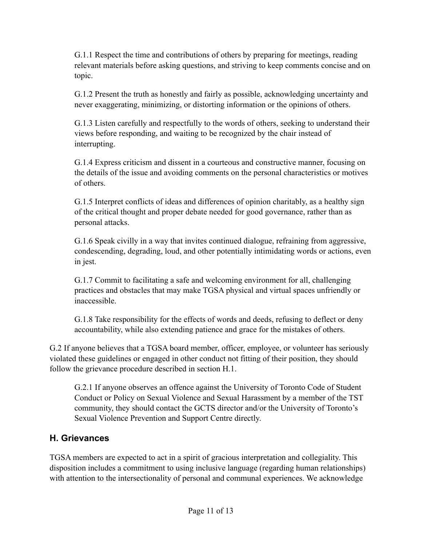G.1.1 Respect the time and contributions of others by preparing for meetings, reading relevant materials before asking questions, and striving to keep comments concise and on topic.

G.1.2 Present the truth as honestly and fairly as possible, acknowledging uncertainty and never exaggerating, minimizing, or distorting information or the opinions of others.

G.1.3 Listen carefully and respectfully to the words of others, seeking to understand their views before responding, and waiting to be recognized by the chair instead of interrupting.

G.1.4 Express criticism and dissent in a courteous and constructive manner, focusing on the details of the issue and avoiding comments on the personal characteristics or motives of others.

G.1.5 Interpret conflicts of ideas and differences of opinion charitably, as a healthy sign of the critical thought and proper debate needed for good governance, rather than as personal attacks.

G.1.6 Speak civilly in a way that invites continued dialogue, refraining from aggressive, condescending, degrading, loud, and other potentially intimidating words or actions, even in jest.

G.1.7 Commit to facilitating a safe and welcoming environment for all, challenging practices and obstacles that may make TGSA physical and virtual spaces unfriendly or inaccessible.

G.1.8 Take responsibility for the effects of words and deeds, refusing to deflect or deny accountability, while also extending patience and grace for the mistakes of others.

G.2 If anyone believes that a TGSA board member, officer, employee, or volunteer has seriously violated these guidelines or engaged in other conduct not fitting of their position, they should follow the grievance procedure described in section H.1.

G.2.1 If anyone observes an offence against the University of Toronto Code of Student Conduct or Policy on Sexual Violence and Sexual Harassment by a member of the TST community, they should contact the GCTS director and/or the University of Toronto's Sexual Violence Prevention and Support Centre directly.

### **H. Grievances**

TGSA members are expected to act in a spirit of gracious interpretation and collegiality. This disposition includes a commitment to using inclusive language (regarding human relationships) with attention to the intersectionality of personal and communal experiences. We acknowledge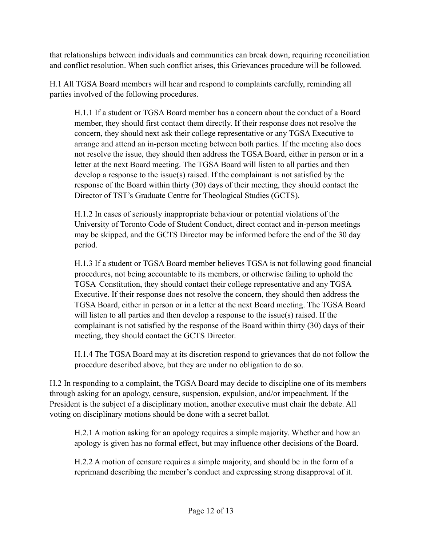that relationships between individuals and communities can break down, requiring reconciliation and conflict resolution. When such conflict arises, this Grievances procedure will be followed.

H.1 All TGSA Board members will hear and respond to complaints carefully, reminding all parties involved of the following procedures.

H.1.1 If a student or TGSA Board member has a concern about the conduct of a Board member, they should first contact them directly. If their response does not resolve the concern, they should next ask their college representative or any TGSA Executive to arrange and attend an in-person meeting between both parties. If the meeting also does not resolve the issue, they should then address the TGSA Board, either in person or in a letter at the next Board meeting. The TGSA Board will listen to all parties and then develop a response to the issue(s) raised. If the complainant is not satisfied by the response of the Board within thirty (30) days of their meeting, they should contact the Director of TST's Graduate Centre for Theological Studies (GCTS).

H.1.2 In cases of seriously inappropriate behaviour or potential violations of the University of Toronto Code of Student Conduct, direct contact and in-person meetings may be skipped, and the GCTS Director may be informed before the end of the 30 day period.

H.1.3 If a student or TGSA Board member believes TGSA is not following good financial procedures, not being accountable to its members, or otherwise failing to uphold the TGSA Constitution, they should contact their college representative and any TGSA Executive. If their response does not resolve the concern, they should then address the TGSA Board, either in person or in a letter at the next Board meeting. The TGSA Board will listen to all parties and then develop a response to the issue(s) raised. If the complainant is not satisfied by the response of the Board within thirty (30) days of their meeting, they should contact the GCTS Director.

H.1.4 The TGSA Board may at its discretion respond to grievances that do not follow the procedure described above, but they are under no obligation to do so.

H.2 In responding to a complaint, the TGSA Board may decide to discipline one of its members through asking for an apology, censure, suspension, expulsion, and/or impeachment. If the President is the subject of a disciplinary motion, another executive must chair the debate. All voting on disciplinary motions should be done with a secret ballot.

H.2.1 A motion asking for an apology requires a simple majority. Whether and how an apology is given has no formal effect, but may influence other decisions of the Board.

H.2.2 A motion of censure requires a simple majority, and should be in the form of a reprimand describing the member's conduct and expressing strong disapproval of it.